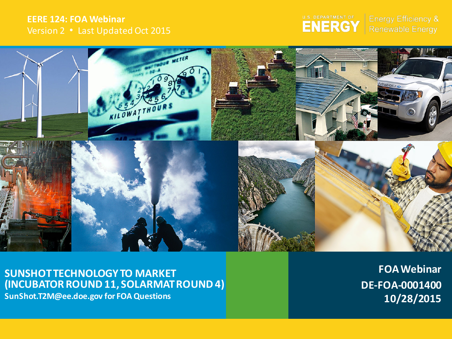#### **EERE 124: FOA Webinar** Version 2 ∙ Last Updated Oct 2015



**Energy Efficiency &** Renewable Energy



**SUNSHOT TECHNOLOGY TO MARKET (INCUBATOR ROUND 11, SOLARMAT ROUND 4) SunShot.T2M@ee.doe.gov for FOA Questions**

**FOA Webinar DE-FOA-0001400 10/28/2015**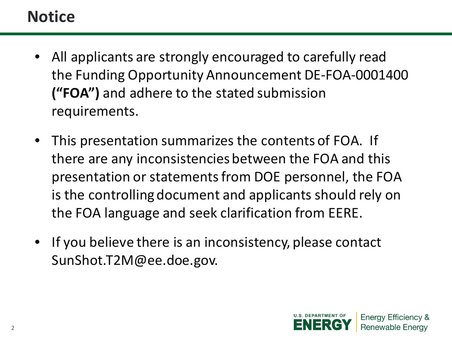## **Notice**

- All applicants are strongly encouraged to carefully read the Funding Opportunity Announcement DE-FOA-0001400 **("FOA")** and adhere to the stated submission requirements.
- This presentation summarizes the contents of FOA. If there are any inconsistencies between the FOA and this presentation or statements from DOE personnel, the FOA is the controlling document and applicants should rely on the FOA language and seek clarification from EERE.
- If you believe there is an inconsistency, please contact SunShot.T2M@ee.doe.gov.

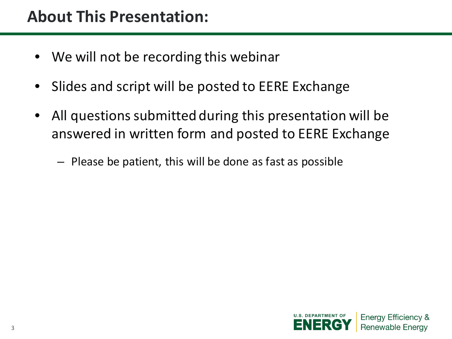- We will not be recording this webinar
- Slides and script will be posted to EERE Exchange
- All questions submitted during this presentation will be answered in written form and posted to EERE Exchange
	- Please be patient, this will be done as fast as possible

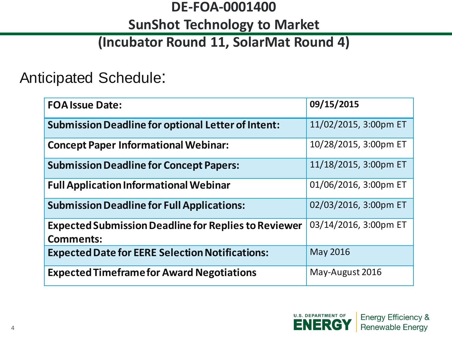### **DE-FOA-0001400**

### **SunShot Technology to Market**

### **(Incubator Round 11, SolarMat Round 4)**

### Anticipated Schedule:

| <b>FOA Issue Date:</b>                                                          | 09/15/2015            |
|---------------------------------------------------------------------------------|-----------------------|
| <b>Submission Deadline for optional Letter of Intent:</b>                       | 11/02/2015, 3:00pm ET |
| <b>Concept Paper Informational Webinar:</b>                                     | 10/28/2015, 3:00pm ET |
| <b>Submission Deadline for Concept Papers:</b>                                  | 11/18/2015, 3:00pm ET |
| <b>Full Application Informational Webinar</b>                                   | 01/06/2016, 3:00pm ET |
| <b>Submission Deadline for Full Applications:</b>                               | 02/03/2016, 3:00pm ET |
| <b>Expected Submission Deadline for Replies to Reviewer</b><br><b>Comments:</b> | 03/14/2016, 3:00pm ET |
| <b>Expected Date for EERE Selection Notifications:</b>                          | May 2016              |
| <b>Expected Timeframe for Award Negotiations</b>                                | May-August 2016       |

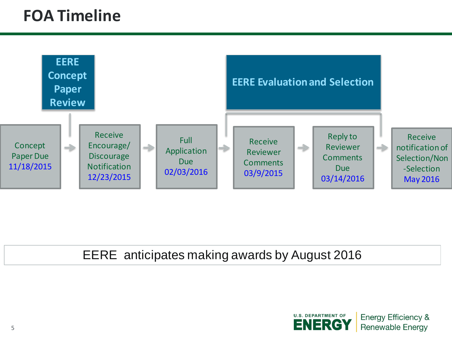### **FOA Timeline**



#### EERE anticipates making awards by August 2016



**Energy Efficiency & Renewable Energy**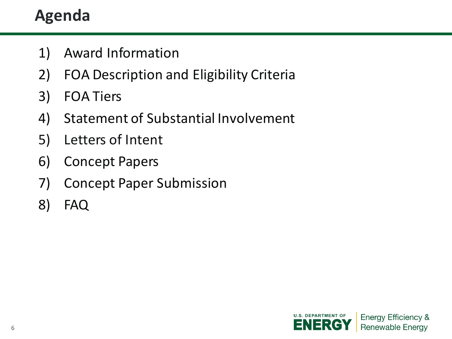# **Agenda**

- 1) Award Information
- 2) FOA Description and Eligibility Criteria
- 3) FOA Tiers
- 4) Statement of Substantial Involvement
- 5) Letters of Intent
- 6) Concept Papers
- 7) Concept Paper Submission
- 8) FAQ

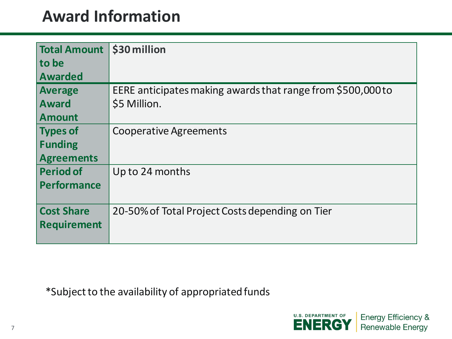### **Award Information**

| Total Amount 530 million |                                                             |
|--------------------------|-------------------------------------------------------------|
| to be                    |                                                             |
| <b>Awarded</b>           |                                                             |
| <b>Average</b>           | EERE anticipates making awards that range from \$500,000 to |
| <b>Award</b>             | \$5 Million.                                                |
| <b>Amount</b>            |                                                             |
| <b>Types of</b>          | <b>Cooperative Agreements</b>                               |
| <b>Funding</b>           |                                                             |
| <b>Agreements</b>        |                                                             |
| <b>Period of</b>         | Up to 24 months                                             |
| <b>Performance</b>       |                                                             |
|                          |                                                             |
| <b>Cost Share</b>        | 20-50% of Total Project Costs depending on Tier             |
| <b>Requirement</b>       |                                                             |
|                          |                                                             |

\*Subject to the availability of appropriatedfunds

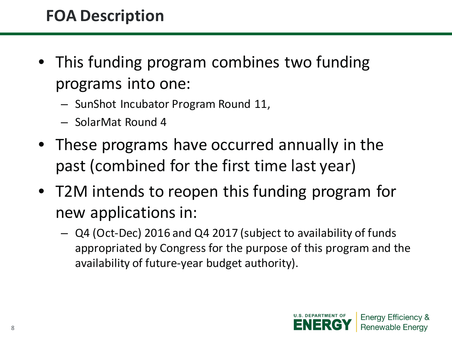## **FOA Description**

- This funding program combines two funding programs into one:
	- SunShot Incubator Program Round 11,
	- SolarMat Round 4
- These programs have occurred annually in the past (combined for the first time last year)
- T2M intends to reopen this funding program for new applications in:
	- Q4 (Oct-Dec) 2016 and Q4 2017 (subject to availability of funds appropriated by Congress for the purpose of this program and the availability of future-year budget authority).

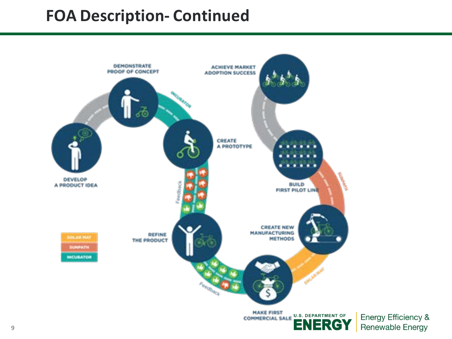### **FOA Description- Continued**



Energy Efficiency & Renewable Energy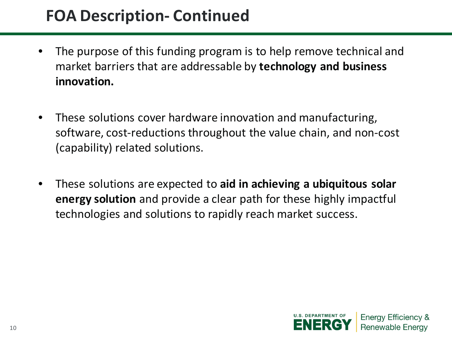### **FOA Description- Continued**

- The purpose of this funding program is to help remove technical and market barriers that are addressable by **technology and business innovation.**
- These solutions cover hardware innovation and manufacturing, software, cost-reductions throughout the value chain, and non-cost (capability) related solutions.
- These solutions are expected to **aid in achieving a ubiquitous solar energy solution** and provide a clear path for these highly impactful technologies and solutions to rapidly reach market success.

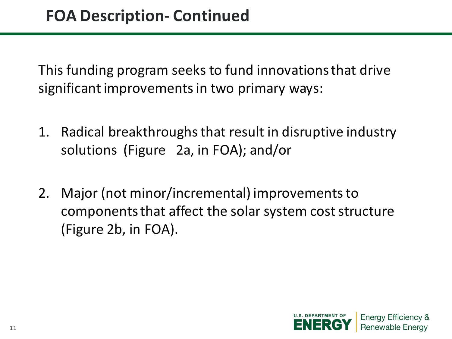This funding program seeks to fund innovations that drive significant improvements in two primary ways:

- 1. Radical breakthroughs that result in disruptive industry solutions (Figure 2a, in FOA); and/or
- 2. Major (not minor/incremental) improvements to components that affect the solar system cost structure (Figure 2b, in FOA).

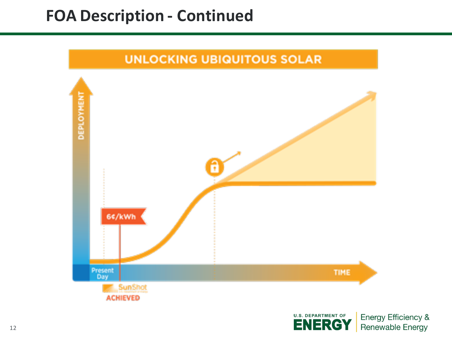### **FOA Description - Continued**



12

Energy Efficiency & Renewable Energy

**ENERGY**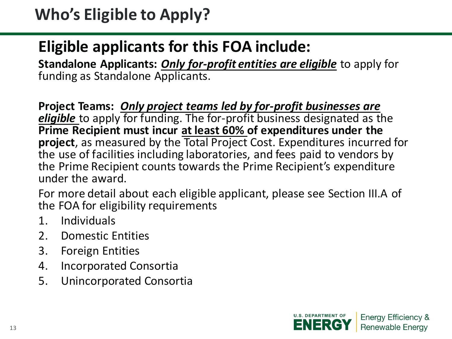### **Eligible applicants for this FOA include:**

**Standalone Applicants:** *Only for-profit entities are eligible* to apply for funding as Standalone Applicants.

**Project Teams:** *Only project teams led by for-profit businesses are eligible* to apply for funding. The for-profit business designated as the **Prime Recipient must incur at least 60% of expenditures under the project**, as measured by the Total Project Cost. Expenditures incurred for the use of facilities including laboratories, and fees paid to vendors by the Prime Recipient counts towards the Prime Recipient's expenditure under the award.

For more detail about each eligible applicant, please see Section III.A of the FOA for eligibility requirements

- 1. Individuals
- 2. Domestic Entities
- 3. Foreign Entities
- 4. Incorporated Consortia
- 5. Unincorporated Consortia

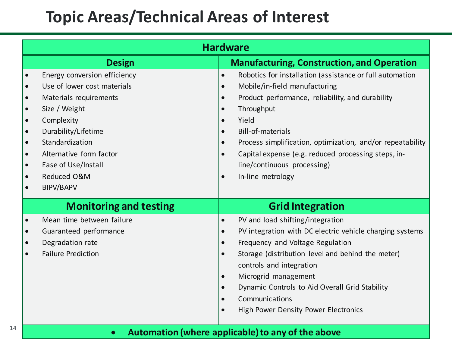### **Topic Areas/Technical Areas of Interest**

|                                                                            | <b>Hardware</b>                                                                                                                                                                                                                                     |                                                                                                                   |                                                                                                                                                                                                                                                                                                                                                                           |  |  |
|----------------------------------------------------------------------------|-----------------------------------------------------------------------------------------------------------------------------------------------------------------------------------------------------------------------------------------------------|-------------------------------------------------------------------------------------------------------------------|---------------------------------------------------------------------------------------------------------------------------------------------------------------------------------------------------------------------------------------------------------------------------------------------------------------------------------------------------------------------------|--|--|
|                                                                            | <b>Design</b>                                                                                                                                                                                                                                       |                                                                                                                   | <b>Manufacturing, Construction, and Operation</b>                                                                                                                                                                                                                                                                                                                         |  |  |
| $\bullet$<br>$\bullet$<br>$\bullet$<br>$\bullet$<br>$\bullet$<br>$\bullet$ | Energy conversion efficiency<br>Use of lower cost materials<br>Materials requirements<br>Size / Weight<br>Complexity<br>Durability/Lifetime<br>Standardization<br>Alternative form factor<br>Ease of Use/Install<br>Reduced O&M<br><b>BIPV/BAPV</b> | $\bullet$<br>$\bullet$<br>$\bullet$<br>$\bullet$<br>$\bullet$<br>$\bullet$<br>$\bullet$<br>$\bullet$<br>$\bullet$ | Robotics for installation (assistance or full automation<br>Mobile/in-field manufacturing<br>Product performance, reliability, and durability<br>Throughput<br>Yield<br><b>Bill-of-materials</b><br>Process simplification, optimization, and/or repeatability<br>Capital expense (e.g. reduced processing steps, in-<br>line/continuous processing)<br>In-line metrology |  |  |
|                                                                            | <b>Monitoring and testing</b>                                                                                                                                                                                                                       | <b>Grid Integration</b>                                                                                           |                                                                                                                                                                                                                                                                                                                                                                           |  |  |
| $\bullet$<br>$\bullet$                                                     | Mean time between failure<br>Guaranteed performance<br>Degradation rate<br><b>Failure Prediction</b>                                                                                                                                                | $\bullet$<br>$\bullet$<br>$\bullet$<br>$\bullet$<br>$\bullet$<br>$\bullet$<br>$\bullet$<br>$\bullet$              | PV and load shifting/integration<br>PV integration with DC electric vehicle charging systems<br>Frequency and Voltage Regulation<br>Storage (distribution level and behind the meter)<br>controls and integration<br>Microgrid management<br>Dynamic Controls to Aid Overall Grid Stability<br>Communications<br><b>High Power Density Power Electronics</b>              |  |  |
|                                                                            | Automation (where applicable) to any of the above<br>$\bullet$                                                                                                                                                                                      |                                                                                                                   |                                                                                                                                                                                                                                                                                                                                                                           |  |  |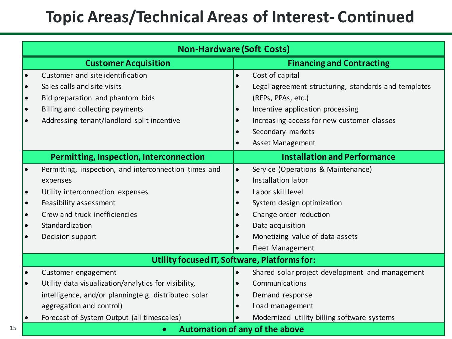### **Topic Areas/Technical Areas of Interest- Continued**

| <b>Non-Hardware (Soft Costs)</b>             |                                                       |           |                                                      |  |  |
|----------------------------------------------|-------------------------------------------------------|-----------|------------------------------------------------------|--|--|
|                                              | <b>Customer Acquisition</b>                           |           | <b>Financing and Contracting</b>                     |  |  |
|                                              | Customer and site identification                      | $\bullet$ | Cost of capital                                      |  |  |
| $\bullet$                                    | Sales calls and site visits                           | $\bullet$ | Legal agreement structuring, standards and templates |  |  |
| $\bullet$                                    | Bid preparation and phantom bids                      |           | (RFPs, PPAs, etc.)                                   |  |  |
| $\bullet$                                    | Billing and collecting payments                       |           | Incentive application processing                     |  |  |
|                                              | Addressing tenant/landlord split incentive            |           | Increasing access for new customer classes           |  |  |
|                                              |                                                       |           | Secondary markets                                    |  |  |
|                                              |                                                       | $\bullet$ | Asset Management                                     |  |  |
|                                              | Permitting, Inspection, Interconnection               |           | <b>Installation and Performance</b>                  |  |  |
|                                              | Permitting, inspection, and interconnection times and | $\bullet$ | Service (Operations & Maintenance)                   |  |  |
|                                              | expenses                                              | $\bullet$ | Installation labor                                   |  |  |
| $\bullet$                                    | Utility interconnection expenses                      |           | Labor skill level                                    |  |  |
| $\bullet$                                    | Feasibility assessment                                |           | System design optimization                           |  |  |
| $\bullet$                                    | Crew and truck inefficiencies                         |           | Change order reduction                               |  |  |
| $\bullet$                                    | Standardization                                       |           | Data acquisition                                     |  |  |
| $\bullet$                                    | Decision support                                      |           | Monetizing value of data assets                      |  |  |
|                                              |                                                       |           | Fleet Management                                     |  |  |
| Utility focused IT, Software, Platforms for: |                                                       |           |                                                      |  |  |
|                                              | Customer engagement                                   | $\bullet$ | Shared solar project development and management      |  |  |
| $\bullet$                                    | Utility data visualization/analytics for visibility,  |           | Communications                                       |  |  |
|                                              | intelligence, and/or planning(e.g. distributed solar  |           | Demand response                                      |  |  |
|                                              | aggregation and control)                              |           | Load management                                      |  |  |
|                                              | Forecast of System Output (all timescales)            |           | Modernized utility billing software systems          |  |  |
|                                              | Automation of any of the above<br>$\bullet$           |           |                                                      |  |  |

15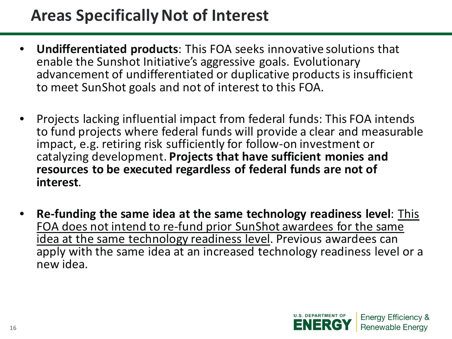### **Areas Specifically Not of Interest**

- **Undifferentiated products**: This FOA seeks innovative solutions that enable the Sunshot Initiative's aggressive goals. Evolutionary advancement of undifferentiated or duplicative products is insufficient to meet SunShot goals and not of interest to this FOA.
- Projects lacking influential impact from federal funds: This FOA intends to fund projects where federal funds will provide a clear and measurable impact, e.g. retiring risk sufficiently for follow-on investment or catalyzing development. **Projects that have sufficient monies and resources to be executed regardless of federal funds are not of interest**.
- **Re-funding the same idea at the same technology readiness level**: This FOA does not intend to re-fund prior SunShot awardees for the same idea at the same technology readiness level. Previous awardees can apply with the same idea at an increased technology readiness level or a new idea.

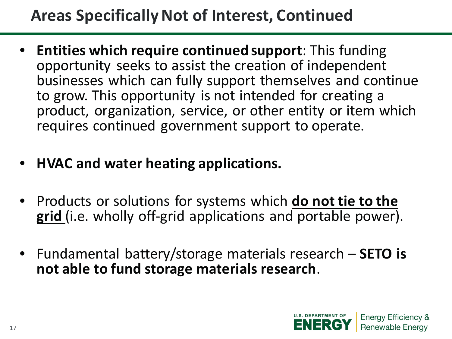### **Areas Specifically Not of Interest, Continued**

- **Entities which require continued support**: This funding opportunity seeks to assist the creation of independent businesses which can fully support themselves and continue to grow. This opportunity is not intended for creating a product, organization, service, or other entity or item which requires continued government support to operate.
- **HVAC and water heating applications.**
- Products or solutions for systems which **do not tie to the grid** (i.e. wholly off-grid applications and portable power).
- Fundamental battery/storage materials research **SETO is not able to fund storage materials research**.

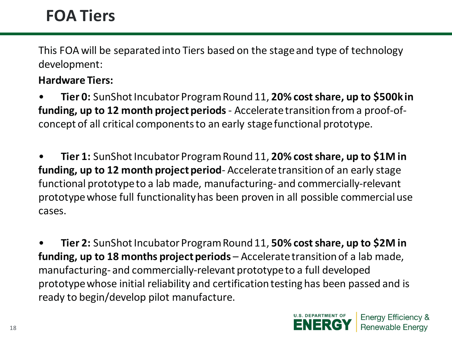### **FOA Tiers**

This FOA will be separated into Tiers based on the stage and type of technology development:

#### **Hardware Tiers:**

• **Tier 0:** SunShot Incubator Program Round 11, **20% cost share, up to \$500k in funding, up to 12 month project periods** - Accelerate transition from a proof-ofconcept of all critical components to an early stage functional prototype.

• **Tier 1:** SunShot Incubator Program Round 11, **20% cost share, up to \$1M in funding, up to 12 month project period**- Accelerate transition of an early stage functional prototype to a lab made, manufacturing- and commercially-relevant prototype whose full functionality has been proven in all possible commercial use cases.

• **Tier 2:** SunShot Incubator Program Round 11, **50% cost share, up to \$2M in funding, up to 18 months project periods** – Accelerate transition of a lab made, manufacturing- and commercially-relevant prototype to a full developed prototype whose initial reliability and certification testing has been passed and is ready to begin/develop pilot manufacture.

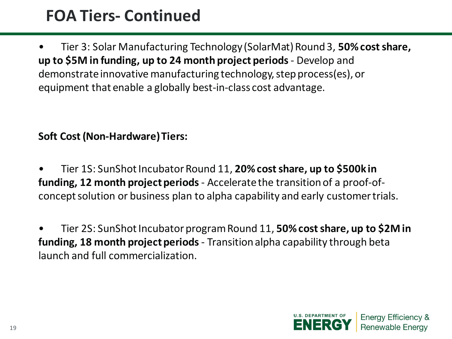### **FOA Tiers- Continued**

• Tier 3: Solar Manufacturing Technology (SolarMat) Round 3, **50% cost share, up to \$5M in funding, up to 24 month project periods** - Develop and demonstrate innovative manufacturing technology, step process(es), or equipment that enable a globally best-in-class cost advantage.

#### **Soft Cost (Non-Hardware) Tiers:**

- Tier 1S: SunShot Incubator Round 11, **20% cost share, up to \$500k in funding, 12 month project periods**- Accelerate the transition of a proof-ofconcept solution or business plan to alpha capability and early customer trials.
- Tier 2S: SunShot Incubator program Round 11, **50% cost share, up to \$2M in funding, 18 month project periods**- Transition alpha capability through beta launch and full commercialization.

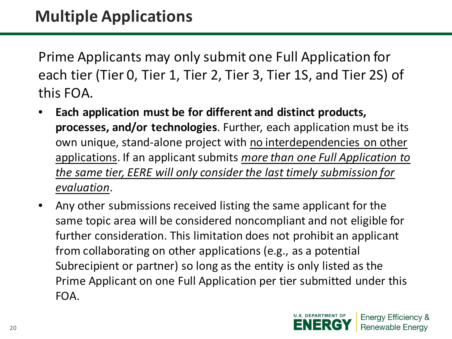Prime Applicants may only submit one Full Application for each tier (Tier 0, Tier 1, Tier 2, Tier 3, Tier 1S, and Tier 2S) of this FOA.

- **Each application must be for different and distinct products, processes, and/or technologies**. Further, each application must be its own unique, stand-alone project with no interdependencies on other applications. If an applicant submits *more than one Full Application to the same tier, EERE will only consider the last timely submission for evaluation*.
- Any other submissions received listing the same applicant for the same topic area will be considered noncompliant and not eligible for further consideration. This limitation does not prohibit an applicant from collaborating on other applications (e.g., as a potential Subrecipient or partner) so long as the entity is only listed as the Prime Applicant on one Full Application per tier submitted under this FOA.

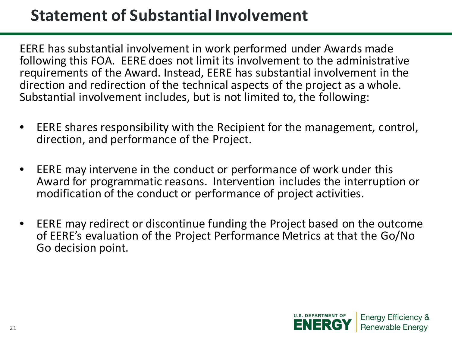### **Statement of Substantial Involvement**

EERE has substantial involvement in work performed under Awards made following this FOA. EERE does not limit its involvement to the administrative requirements of the Award. Instead, EERE has substantial involvement in the direction and redirection of the technical aspects of the project as a whole. Substantial involvement includes, but is not limited to, the following:

- EERE shares responsibility with the Recipient for the management, control, direction, and performance of the Project.
- EERE may intervene in the conduct or performance of work under this Award for programmatic reasons. Intervention includes the interruption or modification of the conduct or performance of project activities.
- EERE may redirect or discontinue funding the Project based on the outcome of EERE's evaluation of the Project Performance Metrics at that the Go/No Go decision point.

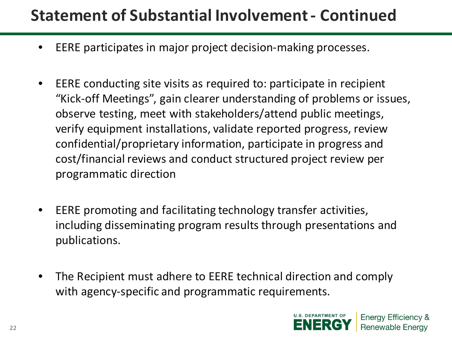### **Statement of Substantial Involvement - Continued**

- EERE participates in major project decision-making processes.
- EERE conducting site visits as required to: participate in recipient "Kick-off Meetings", gain clearer understanding of problems or issues, observe testing, meet with stakeholders/attend public meetings, verify equipment installations, validate reported progress, review confidential/proprietary information, participate in progress and cost/financial reviews and conduct structured project review per programmatic direction
- EERE promoting and facilitating technology transfer activities, including disseminating program results through presentations and publications.
- The Recipient must adhere to EERE technical direction and comply with agency-specific and programmatic requirements.

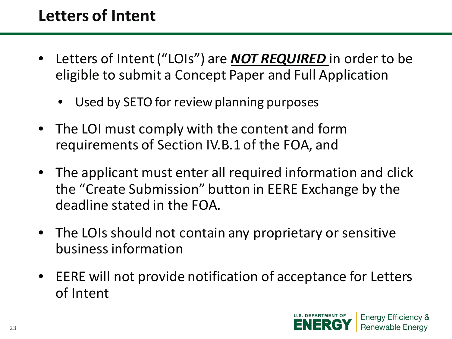## **Letters of Intent**

- Letters of Intent ("LOIs") are *NOT REQUIRED* in order to be eligible to submit a Concept Paper and Full Application
	- Used by SETO for review planning purposes
- The LOI must comply with the content and form requirements of Section IV.B.1 of the FOA, and
- The applicant must enter all required information and click the "Create Submission" button in EERE Exchange by the deadline stated in the FOA.
- The LOIs should not contain any proprietary or sensitive business information
- EERE will not provide notification of acceptance for Letters of Intent

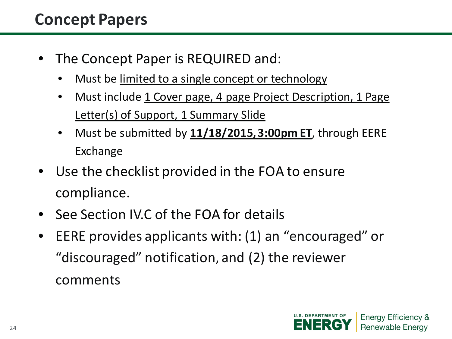### **Concept Papers**

- The Concept Paper is REQUIRED and:
	- Must be limited to a single concept or technology
	- Must include 1 Cover page, 4 page Project Description, 1 Page Letter(s) of Support, 1 Summary Slide
	- Must be submitted by **11/18/2015, 3:00pm ET**, through EERE Exchange
- Use the checklist provided in the FOA to ensure compliance.
- See Section IV.C of the FOA for details
- EERE provides applicants with: (1) an "encouraged" or "discouraged" notification, and (2) the reviewer comments

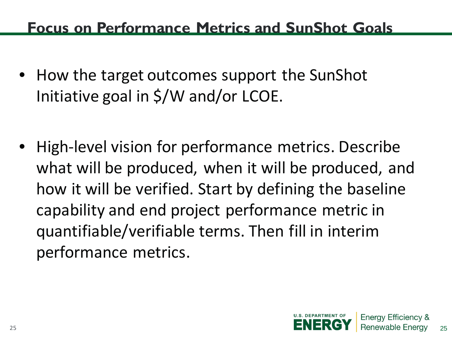### **Focus on Performance Metrics and SunShot Goals**

- How the target outcomes support the SunShot Initiative goal in \$/W and/or LCOE.
- High-level vision for performance metrics. Describe what will be produced, when it will be produced, and how it will be verified. Start by defining the baseline capability and end project performance metric in quantifiable/verifiable terms. Then fill in interim performance metrics.



25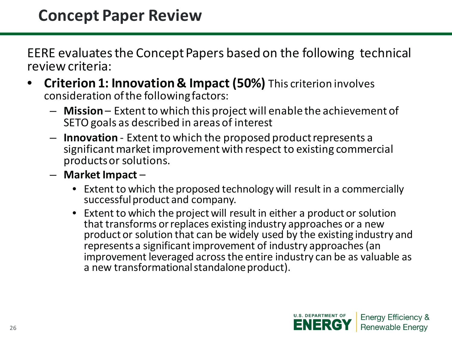EERE evaluates the Concept Papers based on the following technical review criteria:

- **Criterion 1: Innovation & Impact (50%)** This criterion involves consideration of the following factors:
	- **Mission** Extent to which this project will enable the achievement of SETO goals as described in areas of interest
	- **Innovation** Extent to which the proposed product represents a significant market improvement with respect to existing commercial products or solutions.
	- **Market Impact**
		- Extent to which the proposed technology will result in a commercially successful product and company.
		- Extent to which the project will result in either a product or solution that transforms or replaces existing industry approaches or a new product or solution that can be widely used by the existing industry and represents a significant improvement of industry approaches (an improvement leveraged across the entire industry can be as valuable as a new transformational standalone product).

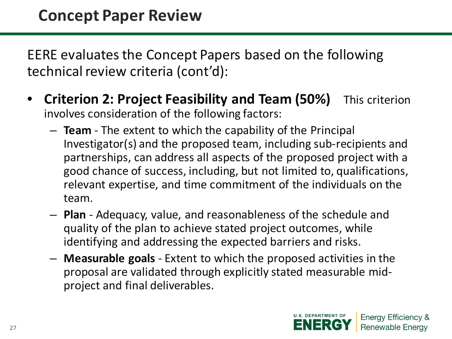EERE evaluates the Concept Papers based on the following technical review criteria (cont'd):

- **Criterion 2: Project Feasibility and Team (50%)** This criterion involves consideration of the following factors:
	- **Team** The extent to which the capability of the Principal Investigator(s) and the proposed team, including sub-recipients and partnerships, can address all aspects of the proposed project with a good chance of success, including, but not limited to, qualifications, relevant expertise, and time commitment of the individuals on the team.
	- **Plan** Adequacy, value, and reasonableness of the schedule and quality of the plan to achieve stated project outcomes, while identifying and addressing the expected barriers and risks.
	- **Measurable goals** Extent to which the proposed activities in the proposal are validated through explicitly stated measurable midproject and final deliverables.

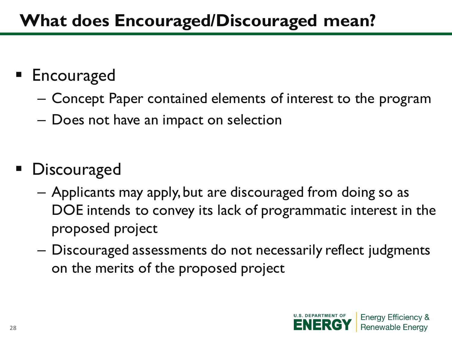# **What does Encouraged/Discouraged mean?**

## **Encouraged**

- Concept Paper contained elements of interest to the program
- Does not have an impact on selection
- **Discouraged** 
	- Applicants may apply, but are discouraged from doing so as DOE intends to convey its lack of programmatic interest in the proposed project
	- Discouraged assessments do not necessarily reflect judgments on the merits of the proposed project

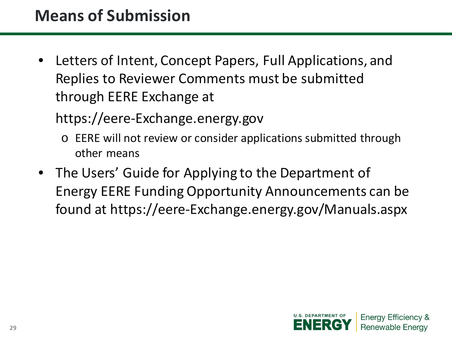### **Means of Submission**

• Letters of Intent, Concept Papers, Full Applications, and Replies to Reviewer Comments must be submitted through EERE Exchange at

https://eere-Exchange.energy.gov

- o EERE will not review or consider applications submitted through other means
- The Users' Guide for Applying to the Department of Energy EERE Funding Opportunity Announcements can be found at https://eere-Exchange.energy.gov/Manuals.aspx

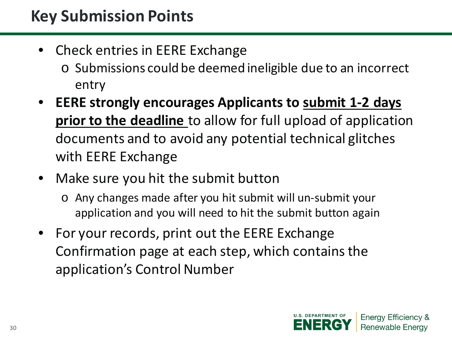### **Key Submission Points**

- Check entries in EERE Exchange
	- o Submissions could be deemed ineligible due to an incorrect entry
- **EERE strongly encourages Applicants to submit 1-2 days prior to the deadline** to allow for full upload of application documents and to avoid any potential technical glitches with EERE Exchange
- Make sure you hit the submit button
	- o Any changes made after you hit submit will un-submit your application and you will need to hit the submit button again
- For your records, print out the EERE Exchange Confirmation page at each step, which contains the application's Control Number

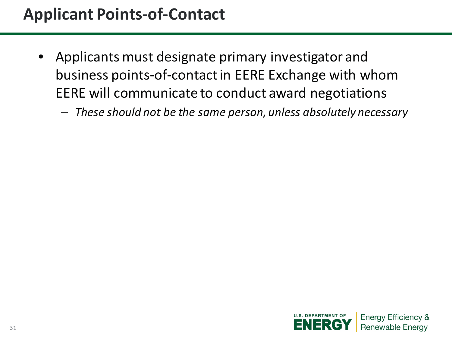### **Applicant Points-of-Contact**

- Applicants must designate primary investigator and business points-of-contact in EERE Exchange with whom EERE will communicate to conduct award negotiations
	- *These should not be the same person, unless absolutely necessary*

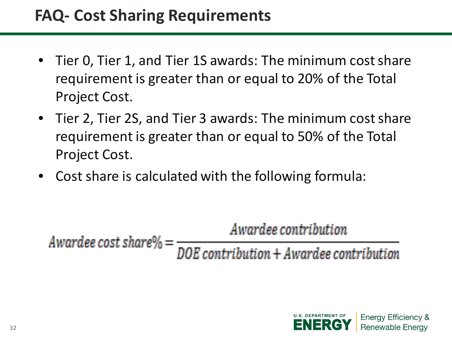### **FAQ- Cost Sharing Requirements**

- Tier 0, Tier 1, and Tier 1S awards: The minimum cost share requirement is greater than or equal to 20% of the Total Project Cost.
- Tier 2, Tier 2S, and Tier 3 awards: The minimum cost share requirement is greater than or equal to 50% of the Total Project Cost.
- Cost share is calculated with the following formula:

Awardee contribution

DOE contribution + Awardee contribution Awardee cost share $\%$  =

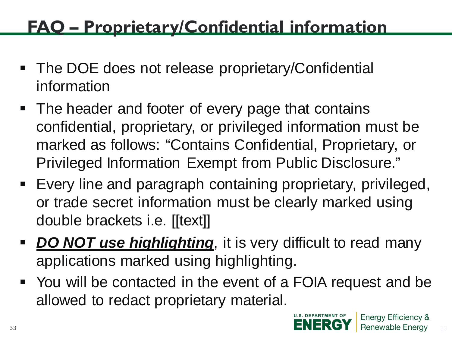# **FAQ – Proprietary/Confidential information**

- The DOE does not release proprietary/Confidential information
- The header and footer of every page that contains confidential, proprietary, or privileged information must be marked as follows: "Contains Confidential, Proprietary, or Privileged Information Exempt from Public Disclosure."
- Every line and paragraph containing proprietary, privileged, or trade secret information must be clearly marked using double brackets i.e. [[text]]
- **DO NOT use highlighting**, it is very difficult to read many applications marked using highlighting.
- You will be contacted in the event of a FOIA request and be allowed to redact proprietary material.

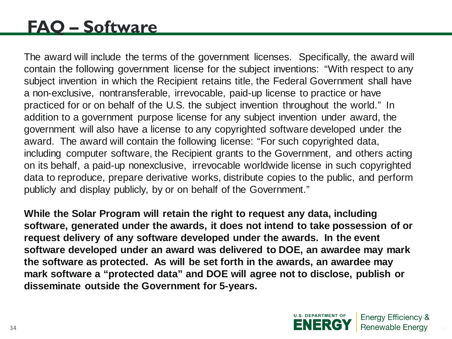# **FAQ – Software**

The award will include the terms of the government licenses. Specifically, the award will contain the following government license for the subject inventions: "With respect to any subject invention in which the Recipient retains title, the Federal Government shall have a non-exclusive, nontransferable, irrevocable, paid-up license to practice or have practiced for or on behalf of the U.S. the subject invention throughout the world." In addition to a government purpose license for any subject invention under award, the government will also have a license to any copyrighted software developed under the award. The award will contain the following license: "For such copyrighted data, including computer software, the Recipient grants to the Government, and others acting on its behalf, a paid-up nonexclusive, irrevocable worldwide license in such copyrighted data to reproduce, prepare derivative works, distribute copies to the public, and perform publicly and display publicly, by or on behalf of the Government."

**While the Solar Program will retain the right to request any data, including software, generated under the awards, it does not intend to take possession of or request delivery of any software developed under the awards. In the event software developed under an award was delivered to DOE, an awardee may mark the software as protected. As will be set forth in the awards, an awardee may mark software a "protected data" and DOE will agree not to disclose, publish or disseminate outside the Government for 5-years.**